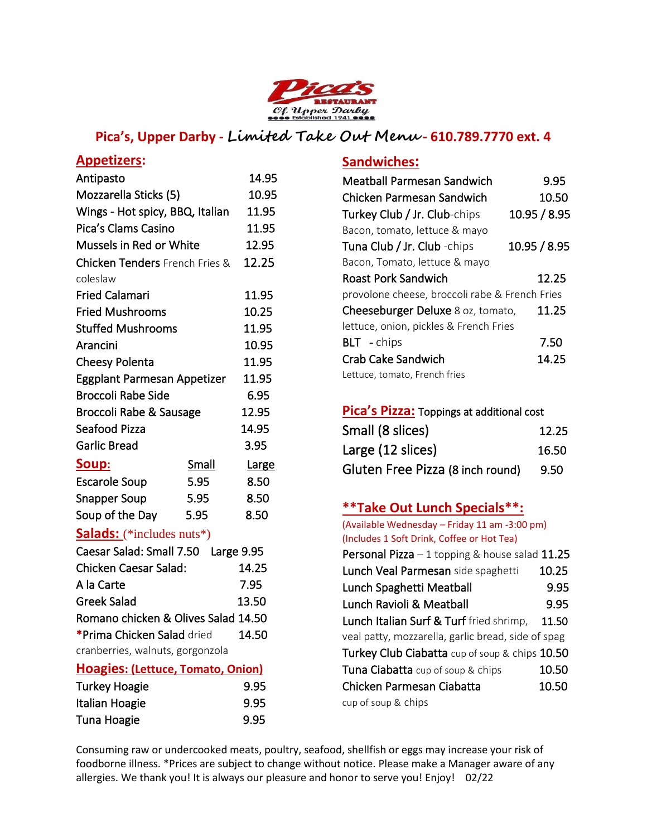

# **Pica's, Upper Darby - Limited Take Out Menu - 610.789.7770 ext. 4**

### **Appetizers:**

| Antipasto                             |                          | 14.95        |
|---------------------------------------|--------------------------|--------------|
| Mozzarella Sticks (5)                 |                          | 10.95        |
| Wings - Hot spicy, BBQ, Italian       |                          | 11.95        |
| Pica's Clams Casino                   |                          | 11.95        |
| Mussels in Red or White               |                          | 12.95        |
| <b>Chicken Tenders</b> French Fries & |                          | 12.25        |
| coleslaw                              |                          |              |
| <b>Fried Calamari</b>                 |                          | 11.95        |
| <b>Fried Mushrooms</b>                |                          | 10.25        |
| <b>Stuffed Mushrooms</b>              |                          | 11.95        |
| Arancini                              |                          | 10.95        |
| <b>Cheesy Polenta</b>                 |                          | 11.95        |
| Eggplant Parmesan Appetizer           |                          | 11.95        |
| <b>Broccoli Rabe Side</b>             |                          | 6.95         |
| Broccoli Rabe & Sausage               |                          | 12.95        |
| Seafood Pizza                         |                          | 14.95        |
| <b>Garlic Bread</b>                   |                          | 3.95         |
| <u>Soup:</u>                          | Small                    | <u>Large</u> |
| <b>Escarole Soup</b>                  | 5.95                     | 8.50         |
| <b>Snapper Soup</b>                   | 5.95                     | 8.50         |
| Soup of the Day                       | 5.95                     | 8.50         |
| Carles-Jackson (1980) (1980)          | <b>Contract Advisers</b> |              |

### **Salads:** (\*includes nuts\*)

| Caesar Salad: Small 7.50 Large 9.95 |       |
|-------------------------------------|-------|
| <b>Chicken Caesar Salad:</b>        | 14.25 |
| A la Carte                          | 7.95  |
| <b>Greek Salad</b>                  | 13.50 |
| Romano chicken & Olives Salad 14.50 |       |
| *Prima Chicken Salad dried          | 14.50 |
| cranberries, walnuts, gorgonzola    |       |
|                                     |       |

#### **Hoagies: (Lettuce, Tomato, Onion)**

| Turkey Hoagie  | 9.95 |
|----------------|------|
| Italian Hoagie | 9.95 |
| Tuna Hoagie    | 9.95 |

### **Sandwiches:**

| Meatball Parmesan Sandwich                     | 9.95         |
|------------------------------------------------|--------------|
| Chicken Parmesan Sandwich                      | 10.50        |
| Turkey Club / Jr. Club-chips                   | 10.95 / 8.95 |
| Bacon, tomato, lettuce & mayo                  |              |
| Tuna Club / Jr. Club - chips                   | 10.95 / 8.95 |
| Bacon, Tomato, lettuce & mayo                  |              |
| <b>Roast Pork Sandwich</b>                     | 12.25        |
| provolone cheese, broccoli rabe & French Fries |              |
| Cheeseburger Deluxe 8 oz, tomato,              | 11.25        |
| lettuce, onion, pickles & French Fries         |              |
| <b>BLT</b> - chips                             | 7.50         |
| Crab Cake Sandwich                             | 14.25        |
| Lettuce, tomato, French fries                  |              |

#### **Pica's Pizza:** Toppings at additional cost

| Small (8 slices)                 | 12.25 |
|----------------------------------|-------|
| Large (12 slices)                | 16.50 |
| Gluten Free Pizza (8 inch round) | 9.50  |

# **\*\*Take Out Lunch Specials\*\*:**

| (Available Wednesday - Friday 11 am -3:00 pm)          |          |
|--------------------------------------------------------|----------|
| (Includes 1 Soft Drink, Coffee or Hot Tea)             |          |
| <b>Personal Pizza</b> $-1$ topping & house salad 11.25 |          |
| Lunch Veal Parmesan side spaghetti                     | 10.25    |
| Lunch Spaghetti Meatball                               | 9.95     |
| Lunch Ravioli & Meatball                               | 9.95     |
| Lunch Italian Surf & Turf fried shrimp,                | -- 11.50 |
| veal patty, mozzarella, garlic bread, side of spag     |          |
| Turkey Club Ciabatta cup of soup & chips 10.50         |          |
| <b>Tuna Ciabatta</b> cup of soup & chips               | 10.50    |
| Chicken Parmesan Ciabatta                              | 10.50    |
| cup of soup & chips                                    |          |

Consuming raw or undercooked meats, poultry, seafood, shellfish or eggs may increase your risk of foodborne illness. \*Prices are subject to change without notice. Please make a Manager aware of any allergies. We thank you! It is always our pleasure and honor to serve you! Enjoy! 02/22